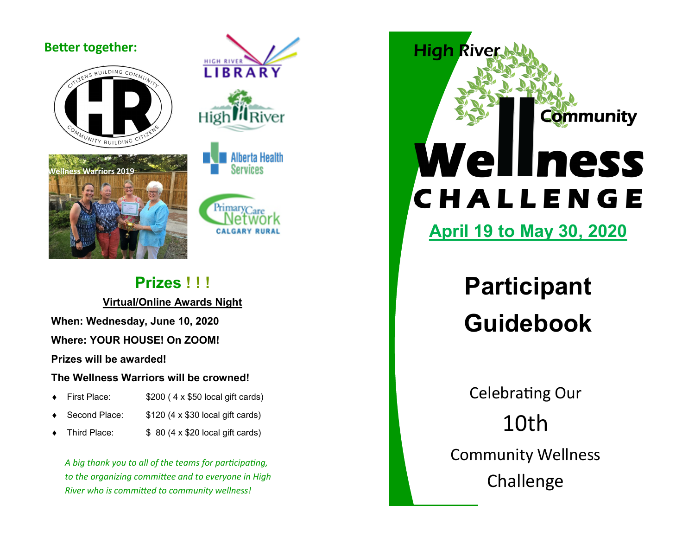### **Better together:**



**Warriors 2019** 









### **Prizes ! ! !**

**Virtual/Online Awards Night**

**When: Wednesday, June 10, 2020**

**Where: YOUR HOUSE! On ZOOM!** 

**Prizes will be awarded!** 

### **The Wellness Warriors will be crowned!**

- First Place: \$200 ( 4 x \$50 local gift cards)
- Second Place: \$120 (4 x \$30 local gift cards)
- Third Place:  $$ 80 (4 \times $20$  local gift cards)

*A big thank you to all of the teams for participating, to the organizing committee and to everyone in High River who is committed to community wellness!* 

**High River Community** Wellness CHALLENGE

**April 19 to May 30, 2020**

# **Participant Guidebook**

Celebrating Our 10th Community Wellness Challenge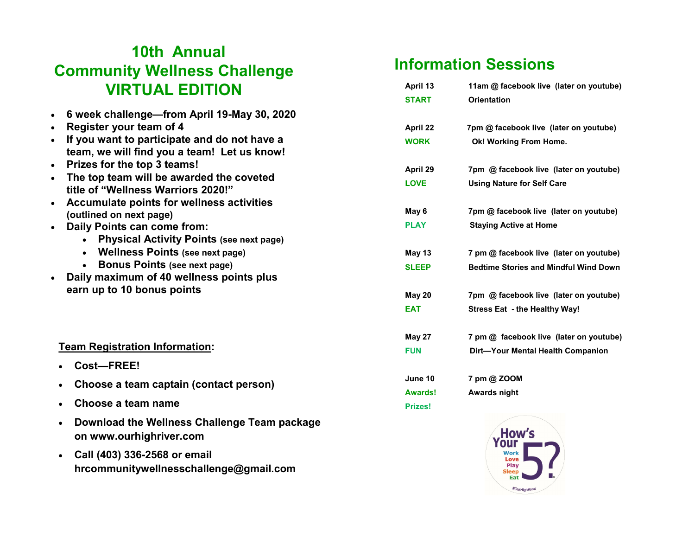### **10th Annual Community Wellness Challenge VIRTUAL EDITION**

- **6 week challenge—from April 19-May 30, 2020**
- **Register your team of 4**
- **If you want to participate and do not have a team, we will find you a team! Let us know!**
- **Prizes for the top 3 teams!**
- **The top team will be awarded the coveted title of "Wellness Warriors 2020!"**
- **Accumulate points for wellness activities (outlined on next page)**
- **Daily Points can come from:**
	- **Physical Activity Points (see next page)**
	- **Wellness Points (see next page)**
	- **Bonus Points (see next page)**
- **Daily maximum of 40 wellness points plus earn up to 10 bonus points**

#### **Team Registration Information:**

- **Cost—FREE!**
- **Choose a team captain (contact person)**
- **Choose a team name**
- **Download the Wellness Challenge Team package on www.ourhighriver.com**
- **Call (403) 336-2568 or email hrcommunitywellnesschallenge@gmail.com**

## **Information Sessions**

| April 13       | 11am @ facebook live (later on youtube)      |
|----------------|----------------------------------------------|
| <b>START</b>   | <b>Orientation</b>                           |
| April 22       | 7pm @ facebook live (later on youtube)       |
| <b>WORK</b>    | Ok! Working From Home.                       |
| April 29       | 7pm @ facebook live (later on youtube)       |
| <b>LOVE</b>    | <b>Using Nature for Self Care</b>            |
| May 6          | 7pm @ facebook live (later on youtube)       |
| <b>PLAY</b>    | <b>Staying Active at Home</b>                |
| May 13         | 7 pm @ facebook live (later on youtube)      |
| <b>SLEEP</b>   | <b>Bedtime Stories and Mindful Wind Down</b> |
| May 20         | 7pm @ facebook live (later on youtube)       |
| <b>EAT</b>     | Stress Eat - the Healthy Way!                |
| <b>May 27</b>  | 7 pm @ facebook live (later on youtube)      |
| <b>FUN</b>     | Dirt-Your Mental Health Companion            |
| June 10        | 7 pm @ ZOOM                                  |
| <b>Awards!</b> | <b>Awards night</b>                          |
| Prizest        |                                              |

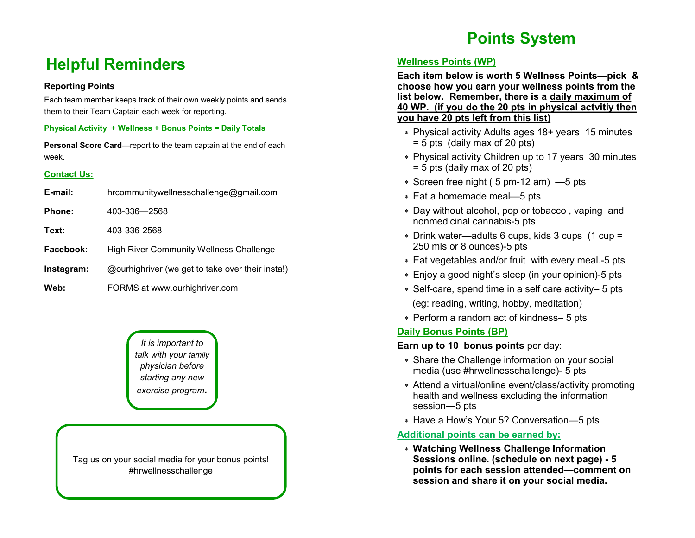### **Helpful Reminders**

#### **Reporting Points**

Each team member keeps track of their own weekly points and sends them to their Team Captain each week for reporting.

#### **Physical Activity + Wellness + Bonus Points = Daily Totals**

**Personal Score Card**—report to the team captain at the end of each week.

#### **Contact Us:**

| E-mail:       | hrcommunitywellnesschallenge@gmail.com           |
|---------------|--------------------------------------------------|
| <b>Phone:</b> | 403-336-2568                                     |
| Text:         | 403-336-2568                                     |
| Facebook:     | <b>High River Community Wellness Challenge</b>   |
| Instagram:    | @ourhighriver (we get to take over their insta!) |
| Web:          | FORMS at www.ourhighriver.com                    |

*It is important to talk with your family physician before starting any new exercise program.*

Tag us on your social media for your bonus points! #hrwellnesschallenge

### **Points System**

#### **Wellness Points (WP)**

**Each item below is worth 5 Wellness Points—pick & choose how you earn your wellness points from the list below. Remember, there is a daily maximum of 40 WP. (if you do the 20 pts in physical actvitiy then you have 20 pts left from this list)**

- Physical activity Adults ages 18+ years 15 minutes = 5 pts (daily max of 20 pts)
- Physical activity Children up to 17 years 30 minutes = 5 pts (daily max of 20 pts)
- Screen free night ( 5 pm-12 am) —5 pts
- Eat a homemade meal—5 pts
- Day without alcohol, pop or tobacco , vaping and nonmedicinal cannabis-5 pts
- Drink water—adults 6 cups, kids 3 cups (1 cup = 250 mls or 8 ounces)-5 pts
- Eat vegetables and/or fruit with every meal.-5 pts
- Enjoy a good night's sleep (in your opinion)-5 pts
- Self-care, spend time in a self care activity– 5 pts (eg: reading, writing, hobby, meditation)
- Perform a random act of kindness– 5 pts

#### **Daily Bonus Points (BP)**

**Earn up to 10 bonus points per day:** 

- Share the Challenge information on your social media (use #hrwellnesschallenge)- 5 pts
- Attend a virtual/online event/class/activity promoting health and wellness excluding the information session—5 pts
- Have a How's Your 5? Conversation—5 pts

#### **Additional points can be earned by:**

 **Watching Wellness Challenge Information Sessions online. (schedule on next page) - 5 points for each session attended—comment on session and share it on your social media.**